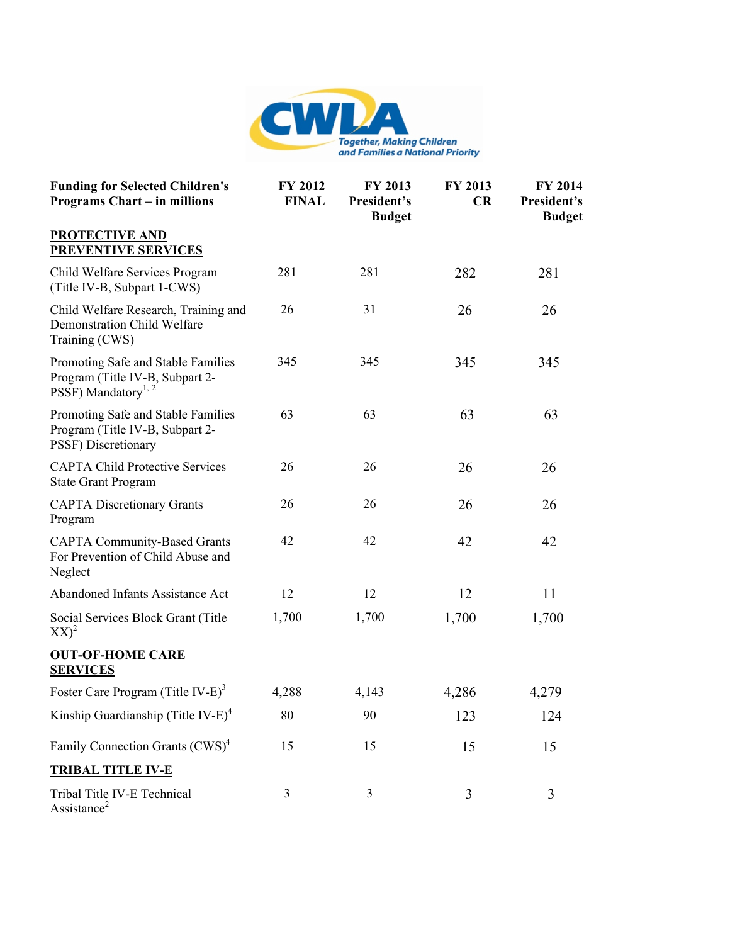

| <b>Funding for Selected Children's</b><br><b>Programs Chart - in millions</b>                            | FY 2012<br><b>FINAL</b> | FY 2013<br>President's<br><b>Budget</b> | FY 2013<br>CR | FY 2014<br>President's<br><b>Budget</b> |
|----------------------------------------------------------------------------------------------------------|-------------------------|-----------------------------------------|---------------|-----------------------------------------|
| <b>PROTECTIVE AND</b><br><b>PREVENTIVE SERVICES</b>                                                      |                         |                                         |               |                                         |
| Child Welfare Services Program<br>(Title IV-B, Subpart 1-CWS)                                            | 281                     | 281                                     | 282           | 281                                     |
| Child Welfare Research, Training and<br>Demonstration Child Welfare<br>Training (CWS)                    | 26                      | 31                                      | 26            | 26                                      |
| Promoting Safe and Stable Families<br>Program (Title IV-B, Subpart 2-<br>PSSF) Mandatory <sup>1, 2</sup> | 345                     | 345                                     | 345           | 345                                     |
| Promoting Safe and Stable Families<br>Program (Title IV-B, Subpart 2-<br>PSSF) Discretionary             | 63                      | 63                                      | 63            | 63                                      |
| <b>CAPTA Child Protective Services</b><br><b>State Grant Program</b>                                     | 26                      | 26                                      | 26            | 26                                      |
| <b>CAPTA Discretionary Grants</b><br>Program                                                             | 26                      | 26                                      | 26            | 26                                      |
| <b>CAPTA Community-Based Grants</b><br>For Prevention of Child Abuse and<br>Neglect                      | 42                      | 42                                      | 42            | 42                                      |
| Abandoned Infants Assistance Act                                                                         | 12                      | 12                                      | 12            | 11                                      |
| Social Services Block Grant (Title<br>$XX)^2$                                                            | 1,700                   | 1,700                                   | 1,700         | 1,700                                   |
| <b>OUT-OF-HOME CARE</b><br><b>SERVICES</b>                                                               |                         |                                         |               |                                         |
| Foster Care Program (Title IV-E) <sup>3</sup>                                                            | 4,288                   | 4,143                                   | 4,286         | 4,279                                   |
| Kinship Guardianship (Title IV-E) <sup>4</sup>                                                           | $80\,$                  | 90                                      | 123           | 124                                     |
| Family Connection Grants (CWS) <sup>4</sup>                                                              | 15                      | 15                                      | 15            | 15                                      |
| <b>TRIBAL TITLE IV-E</b>                                                                                 |                         |                                         |               |                                         |
| Tribal Title IV-E Technical<br>Assistance <sup>2</sup>                                                   | 3                       | $\mathfrak{Z}$                          | 3             | 3                                       |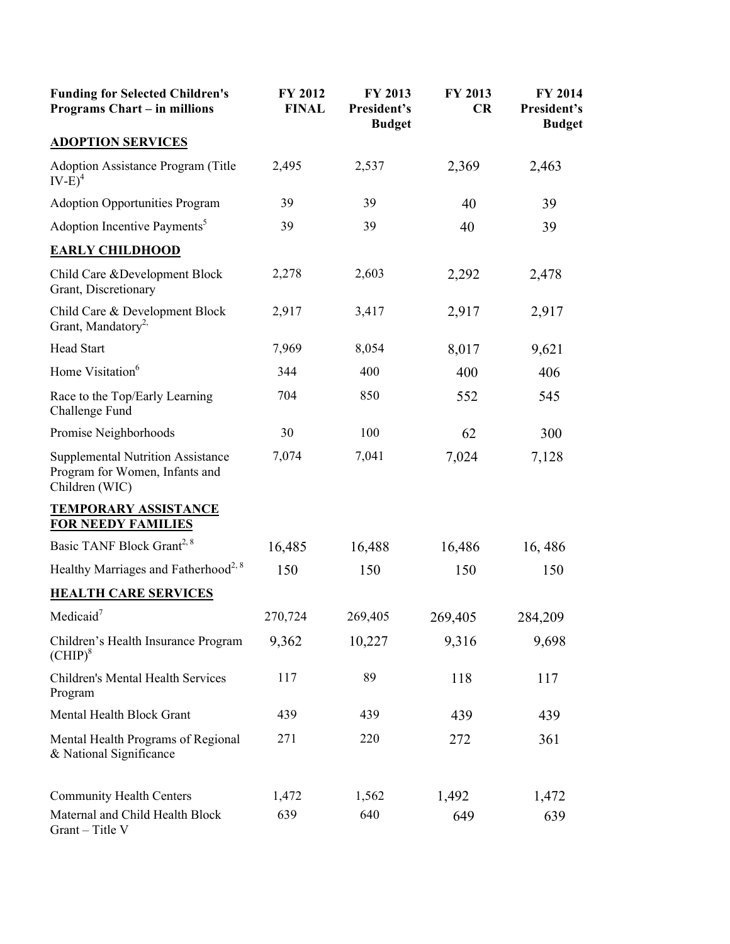| <b>Funding for Selected Children's</b><br><b>Programs Chart - in millions</b>                | FY 2012<br><b>FINAL</b> | FY 2013<br>President's<br><b>Budget</b> | FY 2013<br>CR | FY 2014<br>President's<br><b>Budget</b> |
|----------------------------------------------------------------------------------------------|-------------------------|-----------------------------------------|---------------|-----------------------------------------|
| <b>ADOPTION SERVICES</b>                                                                     |                         |                                         |               |                                         |
| <b>Adoption Assistance Program (Title</b><br>$IV-E)^4$                                       | 2,495                   | 2,537                                   | 2,369         | 2,463                                   |
| <b>Adoption Opportunities Program</b>                                                        | 39                      | 39                                      | 40            | 39                                      |
| Adoption Incentive Payments <sup>5</sup>                                                     | 39                      | 39                                      | 40            | 39                                      |
| <b>EARLY CHILDHOOD</b>                                                                       |                         |                                         |               |                                         |
| Child Care & Development Block<br>Grant, Discretionary                                       | 2,278                   | 2,603                                   | 2,292         | 2,478                                   |
| Child Care & Development Block<br>Grant, Mandatory <sup>2,</sup>                             | 2,917                   | 3,417                                   | 2,917         | 2,917                                   |
| <b>Head Start</b>                                                                            | 7,969                   | 8,054                                   | 8,017         | 9,621                                   |
| Home Visitation <sup>6</sup>                                                                 | 344                     | 400                                     | 400           | 406                                     |
| Race to the Top/Early Learning<br>Challenge Fund                                             | 704                     | 850                                     | 552           | 545                                     |
| Promise Neighborhoods                                                                        | 30                      | 100                                     | 62            | 300                                     |
| <b>Supplemental Nutrition Assistance</b><br>Program for Women, Infants and<br>Children (WIC) | 7,074                   | 7,041                                   | 7,024         | 7,128                                   |
| <b>TEMPORARY ASSISTANCE</b><br><b>FOR NEEDY FAMILIES</b>                                     |                         |                                         |               |                                         |
| Basic TANF Block Grant <sup>2, 8</sup>                                                       | 16,485                  | 16,488                                  | 16,486        | 16,486                                  |
| Healthy Marriages and Fatherhood <sup>2, 8</sup>                                             | 150                     | 150                                     | 150           | 150                                     |
| <b>HEALTH CARE SERVICES</b>                                                                  |                         |                                         |               |                                         |
| Medicaid $7$                                                                                 | 270,724                 | 269,405                                 | 269,405       | 284,209                                 |
| Children's Health Insurance Program<br>$\text{(CHIP)}^8$                                     | 9,362                   | 10,227                                  | 9,316         | 9,698                                   |
| Children's Mental Health Services<br>Program                                                 | 117                     | 89                                      | 118           | 117                                     |
| Mental Health Block Grant                                                                    | 439                     | 439                                     | 439           | 439                                     |
| Mental Health Programs of Regional<br>& National Significance                                | 271                     | 220                                     | 272           | 361                                     |
| <b>Community Health Centers</b>                                                              | 1,472                   | 1,562                                   | 1,492         | 1,472                                   |
| Maternal and Child Health Block<br>Grant - Title V                                           | 639                     | 640                                     | 649           | 639                                     |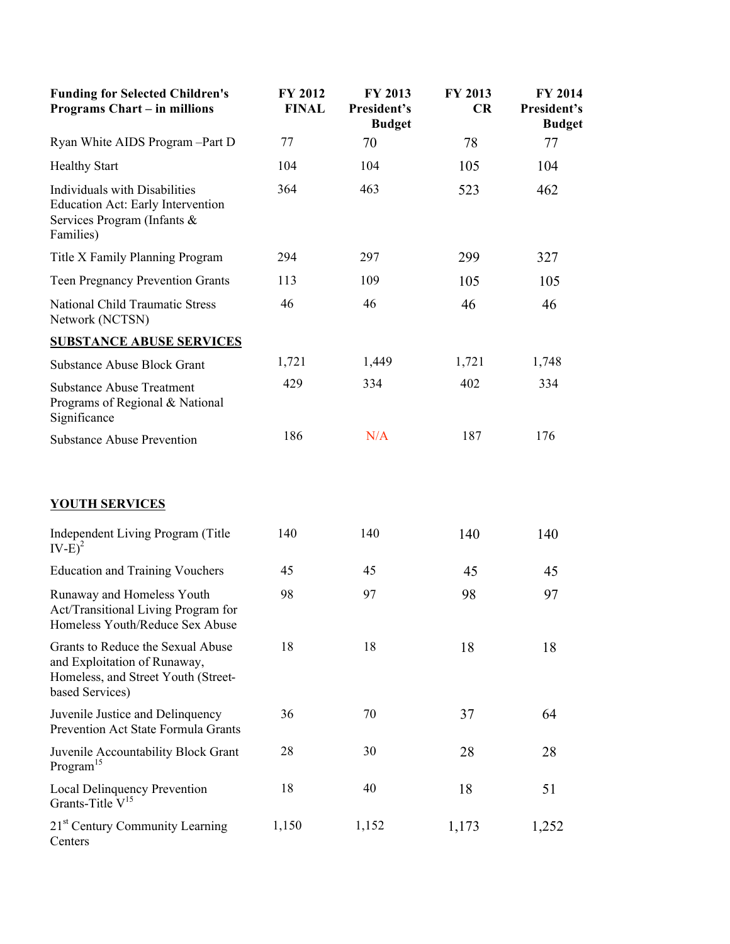| <b>Funding for Selected Children's</b><br><b>Programs Chart - in millions</b>                                               | FY 2012<br><b>FINAL</b> | FY 2013<br>President's<br><b>Budget</b> | FY 2013<br>CR | FY 2014<br>President's<br><b>Budget</b> |
|-----------------------------------------------------------------------------------------------------------------------------|-------------------------|-----------------------------------------|---------------|-----------------------------------------|
| Ryan White AIDS Program - Part D                                                                                            | 77                      | 70                                      | 78            | 77                                      |
| <b>Healthy Start</b>                                                                                                        | 104                     | 104                                     | 105           | 104                                     |
| Individuals with Disabilities<br>Education Act: Early Intervention<br>Services Program (Infants &<br>Families)              | 364                     | 463                                     | 523           | 462                                     |
| Title X Family Planning Program                                                                                             | 294                     | 297                                     | 299           | 327                                     |
| <b>Teen Pregnancy Prevention Grants</b>                                                                                     | 113                     | 109                                     | 105           | 105                                     |
| <b>National Child Traumatic Stress</b><br>Network (NCTSN)                                                                   | 46                      | 46                                      | 46            | 46                                      |
| <b>SUBSTANCE ABUSE SERVICES</b>                                                                                             |                         |                                         |               |                                         |
| <b>Substance Abuse Block Grant</b>                                                                                          | 1,721                   | 1,449                                   | 1,721         | 1,748                                   |
| <b>Substance Abuse Treatment</b><br>Programs of Regional & National<br>Significance                                         | 429                     | 334                                     | 402           | 334                                     |
| <b>Substance Abuse Prevention</b>                                                                                           | 186                     | N/A                                     | 187           | 176                                     |
| <b>YOUTH SERVICES</b>                                                                                                       |                         |                                         |               |                                         |
| Independent Living Program (Title<br>$IV-E)^2$                                                                              | 140                     | 140                                     | 140           | 140                                     |
| <b>Education and Training Vouchers</b>                                                                                      | 45                      | 45                                      | 45            | 45                                      |
| Runaway and Homeless Youth<br>Act/Transitional Living Program for<br>Homeless Youth/Reduce Sex Abuse                        | 98                      | 97                                      | 98            | 97                                      |
| Grants to Reduce the Sexual Abuse<br>and Exploitation of Runaway,<br>Homeless, and Street Youth (Street-<br>based Services) | 18                      | 18                                      | 18            | 18                                      |
| Juvenile Justice and Delinquency<br>Prevention Act State Formula Grants                                                     | 36                      | 70                                      | 37            | 64                                      |
| Juvenile Accountability Block Grant<br>Program <sup>15</sup>                                                                | 28                      | 30                                      | 28            | 28                                      |
| <b>Local Delinquency Prevention</b><br>Grants-Title $V^{15}$                                                                | 18                      | 40                                      | 18            | 51                                      |
| 21 <sup>st</sup> Century Community Learning<br>Centers                                                                      | 1,150                   | 1,152                                   | 1,173         | 1,252                                   |